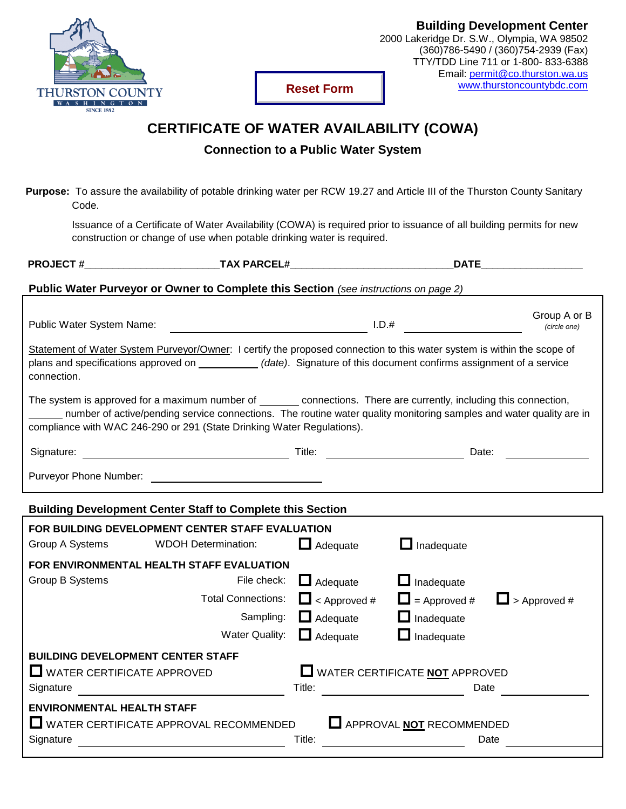

**Reset Form**

## **CERTIFICATE OF WATER AVAILABILITY (COWA)**

**Connection to a Public Water System**

**Purpose:** To assure the availability of potable drinking water per RCW 19.27 and Article III of the Thurston County Sanitary Code.

Issuance of a Certificate of Water Availability (COWA) is required prior to issuance of all building permits for new construction or change of use when potable drinking water is required.

| <b>PROJECT#</b>                                                                                                                                                                                                                                                                                                        | <b>TAX PARCEL#</b>                                                                                                                                                                                                                               |                                | <b>DATE</b>                    |                     |
|------------------------------------------------------------------------------------------------------------------------------------------------------------------------------------------------------------------------------------------------------------------------------------------------------------------------|--------------------------------------------------------------------------------------------------------------------------------------------------------------------------------------------------------------------------------------------------|--------------------------------|--------------------------------|---------------------|
| Public Water Purveyor or Owner to Complete this Section (see instructions on page 2)                                                                                                                                                                                                                                   |                                                                                                                                                                                                                                                  |                                |                                |                     |
|                                                                                                                                                                                                                                                                                                                        |                                                                                                                                                                                                                                                  |                                |                                | Group A or B        |
| Public Water System Name:                                                                                                                                                                                                                                                                                              |                                                                                                                                                                                                                                                  | $\overline{\phantom{a}}$ 1.D.# |                                | (circle one)        |
| connection.                                                                                                                                                                                                                                                                                                            | Statement of Water System Purveyor/Owner: I certify the proposed connection to this water system is within the scope of<br>plans and specifications approved on ____________ (date). Signature of this document confirms assignment of a service |                                |                                |                     |
| The system is approved for a maximum number of _________ connections. There are currently, including this connection,<br>number of active/pending service connections. The routine water quality monitoring samples and water quality are in<br>compliance with WAC 246-290 or 291 (State Drinking Water Regulations). |                                                                                                                                                                                                                                                  |                                |                                |                     |
| Signature:                                                                                                                                                                                                                                                                                                             |                                                                                                                                                                                                                                                  |                                | Date:                          |                     |
|                                                                                                                                                                                                                                                                                                                        |                                                                                                                                                                                                                                                  |                                |                                |                     |
| <b>Building Development Center Staff to Complete this Section</b>                                                                                                                                                                                                                                                      |                                                                                                                                                                                                                                                  |                                |                                |                     |
|                                                                                                                                                                                                                                                                                                                        | FOR BUILDING DEVELOPMENT CENTER STAFF EVALUATION                                                                                                                                                                                                 |                                |                                |                     |
| Group A Systems                                                                                                                                                                                                                                                                                                        | <b>WDOH Determination:</b>                                                                                                                                                                                                                       | $\Box$ Adequate                | ப<br>Inadequate                |                     |
|                                                                                                                                                                                                                                                                                                                        | FOR ENVIRONMENTAL HEALTH STAFF EVALUATION                                                                                                                                                                                                        |                                |                                |                     |
| Group B Systems                                                                                                                                                                                                                                                                                                        | File check:                                                                                                                                                                                                                                      | $\Box$ Adequate                | $\Box$ Inadequate              |                     |
|                                                                                                                                                                                                                                                                                                                        | <b>Total Connections:</b>                                                                                                                                                                                                                        | $\Box$ < Approved #            | $\Box$ = Approved #            | $\Box$ > Approved # |
|                                                                                                                                                                                                                                                                                                                        | Sampling:                                                                                                                                                                                                                                        | $\Box$ Adequate                | $\Box$ Inadequate              |                     |
|                                                                                                                                                                                                                                                                                                                        | <b>Water Quality:</b>                                                                                                                                                                                                                            | $\Box$ Adequate                | $\Box$ Inadequate              |                     |
| <b>BUILDING DEVELOPMENT CENTER STAFF</b>                                                                                                                                                                                                                                                                               |                                                                                                                                                                                                                                                  |                                |                                |                     |
| $\Box$ WATER CERTIFICATE APPROVED                                                                                                                                                                                                                                                                                      |                                                                                                                                                                                                                                                  |                                | WATER CERTIFICATE NOT APPROVED |                     |
| Signature                                                                                                                                                                                                                                                                                                              |                                                                                                                                                                                                                                                  | Title:                         | Date                           |                     |
| <b>ENVIRONMENTAL HEALTH STAFF</b>                                                                                                                                                                                                                                                                                      |                                                                                                                                                                                                                                                  |                                |                                |                     |
|                                                                                                                                                                                                                                                                                                                        | WATER CERTIFICATE APPROVAL RECOMMENDED                                                                                                                                                                                                           |                                | APPROVAL NOT RECOMMENDED       |                     |
| Signature                                                                                                                                                                                                                                                                                                              |                                                                                                                                                                                                                                                  | Title:                         | Date                           |                     |